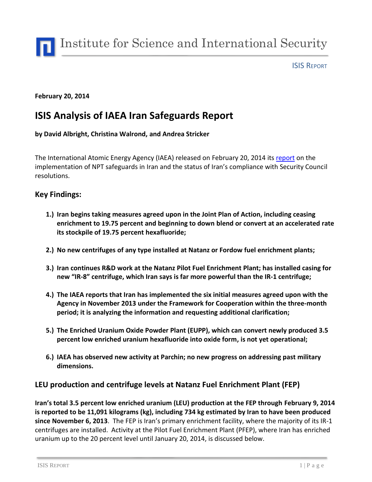

ISIS REPORT

#### **February 20, 2014**

# **ISIS Analysis of IAEA Iran Safeguards Report**

**by David Albright, Christina Walrond, and Andrea Stricker**

The International Atomic Energy Agency (IAEA) released on February 20, 2014 its [report](http://isis-online.org/uploads/isis-reports/documents/iaea-iranreport-02202014.pdf) on the implementation of NPT safeguards in Iran and the status of Iran's compliance with Security Council resolutions.

#### **Key Findings:**

- **1.) Iran begins taking measures agreed upon in the Joint Plan of Action, including ceasing enrichment to 19.75 percent and beginning to down blend or convert at an accelerated rate its stockpile of 19.75 percent hexafluoride;**
- **2.) No new centrifuges of any type installed at Natanz or Fordow fuel enrichment plants;**
- **3.) Iran continues R&D work at the Natanz Pilot Fuel Enrichment Plant; has installed casing for new "IR-8" centrifuge, which Iran says is far more powerful than the IR-1 centrifuge;**
- **4.) The IAEA reports that Iran has implemented the six initial measures agreed upon with the Agency in November 2013 under the Framework for Cooperation within the three-month period; it is analyzing the information and requesting additional clarification;**
- **5.) The Enriched Uranium Oxide Powder Plant (EUPP), which can convert newly produced 3.5 percent low enriched uranium hexafluoride into oxide form, is not yet operational;**
- **6.) IAEA has observed new activity at Parchin; no new progress on addressing past military dimensions.**

#### **LEU production and centrifuge levels at Natanz Fuel Enrichment Plant (FEP)**

**Iran's total 3.5 percent low enriched uranium (LEU) production at the FEP through February 9, 2014 is reported to be 11,091 kilograms (kg), including 734 kg estimated by Iran to have been produced since November 6, 2013**. The FEP is Iran's primary enrichment facility, where the majority of its IR-1 centrifuges are installed. Activity at the Pilot Fuel Enrichment Plant (PFEP), where Iran has enriched uranium up to the 20 percent level until January 20, 2014, is discussed below.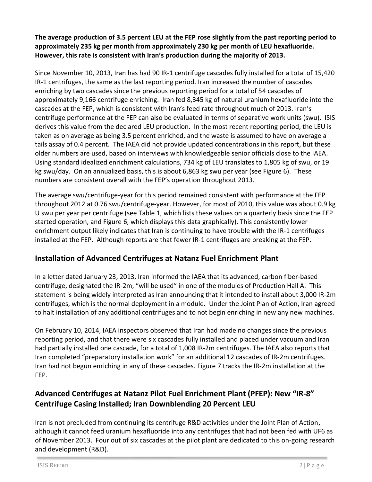**The average production of 3.5 percent LEU at the FEP rose slightly from the past reporting period to approximately 235 kg per month from approximately 230 kg per month of LEU hexafluoride. However, this rate is consistent with Iran's production during the majority of 2013.**

Since November 10, 2013, Iran has had 90 IR-1 centrifuge cascades fully installed for a total of 15,420 IR-1 centrifuges, the same as the last reporting period. Iran increased the number of cascades enriching by two cascades since the previous reporting period for a total of 54 cascades of approximately 9,166 centrifuge enriching. Iran fed 8,345 kg of natural uranium hexafluoride into the cascades at the FEP, which is consistent with Iran's feed rate throughout much of 2013. Iran's centrifuge performance at the FEP can also be evaluated in terms of separative work units (swu). ISIS derives this value from the declared LEU production. In the most recent reporting period, the LEU is taken as on average as being 3.5 percent enriched, and the waste is assumed to have on average a tails assay of 0.4 percent. The IAEA did not provide updated concentrations in this report, but these older numbers are used, based on interviews with knowledgeable senior officials close to the IAEA. Using standard idealized enrichment calculations, 734 kg of LEU translates to 1,805 kg of swu, or 19 kg swu/day. On an annualized basis, this is about 6,863 kg swu per year (see Figure 6). These numbers are consistent overall with the FEP's operation throughout 2013.

The average swu/centrifuge-year for this period remained consistent with performance at the FEP throughout 2012 at 0.76 swu/centrifuge-year. However, for most of 2010, this value was about 0.9 kg U swu per year per centrifuge (see Table 1, which lists these values on a quarterly basis since the FEP started operation, and Figure 6, which displays this data graphically). This consistently lower enrichment output likely indicates that Iran is continuing to have trouble with the IR-1 centrifuges installed at the FEP. Although reports are that fewer IR-1 centrifuges are breaking at the FEP.

# **Installation of Advanced Centrifuges at Natanz Fuel Enrichment Plant**

In a letter dated January 23, 2013, Iran informed the IAEA that its advanced, carbon fiber-based centrifuge, designated the IR-2m, "will be used" in one of the modules of Production Hall A. This statement is being widely interpreted as Iran announcing that it intended to install about 3,000 IR-2m centrifuges, which is the normal deployment in a module. Under the Joint Plan of Action, Iran agreed to halt installation of any additional centrifuges and to not begin enriching in new any new machines.

On February 10, 2014, IAEA inspectors observed that Iran had made no changes since the previous reporting period, and that there were six cascades fully installed and placed under vacuum and Iran had partially installed one cascade, for a total of 1,008 IR-2m centrifuges. The IAEA also reports that Iran completed "preparatory installation work" for an additional 12 cascades of IR-2m centrifuges. Iran had not begun enriching in any of these cascades. Figure 7 tracks the IR-2m installation at the FEP.

# **Advanced Centrifuges at Natanz Pilot Fuel Enrichment Plant (PFEP): New "IR-8" Centrifuge Casing Installed; Iran Downblending 20 Percent LEU**

Iran is not precluded from continuing its centrifuge R&D activities under the Joint Plan of Action, although it cannot feed uranium hexafluoride into any centrifuges that had not been fed with UF6 as of November 2013. Four out of six cascades at the pilot plant are dedicated to this on-going research and development (R&D).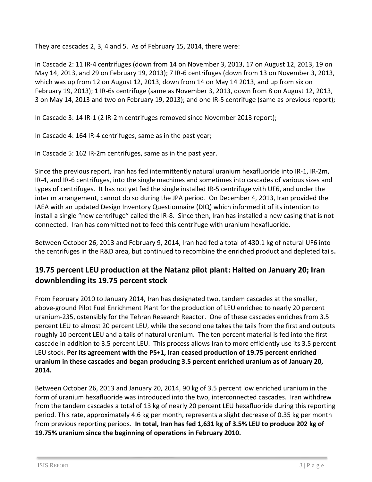They are cascades 2, 3, 4 and 5. As of February 15, 2014, there were:

In Cascade 2: 11 IR-4 centrifuges (down from 14 on November 3, 2013, 17 on August 12, 2013, 19 on May 14, 2013, and 29 on February 19, 2013); 7 IR-6 centrifuges (down from 13 on November 3, 2013, which was up from 12 on August 12, 2013, down from 14 on May 14 2013, and up from six on February 19, 2013); 1 IR-6s centrifuge (same as November 3, 2013, down from 8 on August 12, 2013, 3 on May 14, 2013 and two on February 19, 2013); and one IR-5 centrifuge (same as previous report);

In Cascade 3: 14 IR-1 (2 IR-2m centrifuges removed since November 2013 report);

In Cascade 4: 164 IR-4 centrifuges, same as in the past year;

In Cascade 5: 162 IR-2m centrifuges, same as in the past year.

Since the previous report, Iran has fed intermittently natural uranium hexafluoride into IR-1, IR-2m, IR-4, and IR-6 centrifuges, into the single machines and sometimes into cascades of various sizes and types of centrifuges. It has not yet fed the single installed IR-5 centrifuge with UF6, and under the interim arrangement, cannot do so during the JPA period. On December 4, 2013, Iran provided the IAEA with an updated Design Inventory Questionnaire (DIQ) which informed it of its intention to install a single "new centrifuge" called the IR-8. Since then, Iran has installed a new casing that is not connected. Iran has committed not to feed this centrifuge with uranium hexafluoride.

Between October 26, 2013 and February 9, 2014, Iran had fed a total of 430.1 kg of natural UF6 into the centrifuges in the R&D area, but continued to recombine the enriched product and depleted tails**.** 

### **19.75 percent LEU production at the Natanz pilot plant: Halted on January 20; Iran downblending its 19.75 percent stock**

From February 2010 to January 2014, Iran has designated two, tandem cascades at the smaller, above-ground Pilot Fuel Enrichment Plant for the production of LEU enriched to nearly 20 percent uranium-235, ostensibly for the Tehran Research Reactor. One of these cascades enriches from 3.5 percent LEU to almost 20 percent LEU, while the second one takes the tails from the first and outputs roughly 10 percent LEU and a tails of natural uranium. The ten percent material is fed into the first cascade in addition to 3.5 percent LEU. This process allows Iran to more efficiently use its 3.5 percent LEU stock. **Per its agreement with the P5+1, Iran ceased production of 19.75 percent enriched uranium in these cascades and began producing 3.5 percent enriched uranium as of January 20, 2014.**

Between October 26, 2013 and January 20, 2014, 90 kg of 3.5 percent low enriched uranium in the form of uranium hexafluoride was introduced into the two, interconnected cascades. Iran withdrew from the tandem cascades a total of 13 kg of nearly 20 percent LEU hexafluoride during this reporting period. This rate, approximately 4.6 kg per month, represents a slight decrease of 0.35 kg per month from previous reporting periods. **In total, Iran has fed 1,631 kg of 3.5% LEU to produce 202 kg of 19.75% uranium since the beginning of operations in February 2010.**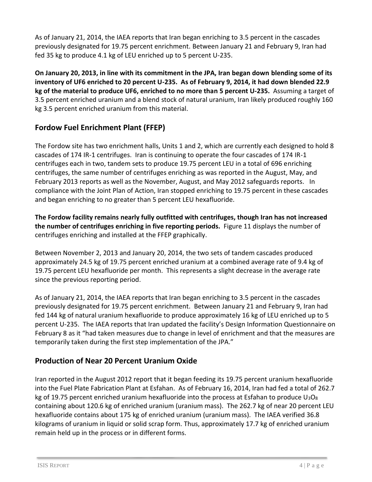As of January 21, 2014, the IAEA reports that Iran began enriching to 3.5 percent in the cascades previously designated for 19.75 percent enrichment. Between January 21 and February 9, Iran had fed 35 kg to produce 4.1 kg of LEU enriched up to 5 percent U-235.

**On January 20, 2013, in line with its commitment in the JPA, Iran began down blending some of its inventory of UF6 enriched to 20 percent U-235. As of February 9, 2014, it had down blended 22.9 kg of the material to produce UF6, enriched to no more than 5 percent U-235.** Assuming a target of 3.5 percent enriched uranium and a blend stock of natural uranium, Iran likely produced roughly 160 kg 3.5 percent enriched uranium from this material.

# **Fordow Fuel Enrichment Plant (FFEP)**

The Fordow site has two enrichment halls, Units 1 and 2, which are currently each designed to hold 8 cascades of 174 IR-1 centrifuges. Iran is continuing to operate the four cascades of 174 IR-1 centrifuges each in two, tandem sets to produce 19.75 percent LEU in a total of 696 enriching centrifuges, the same number of centrifuges enriching as was reported in the August, May, and February 2013 reports as well as the November, August, and May 2012 safeguards reports. In compliance with the Joint Plan of Action, Iran stopped enriching to 19.75 percent in these cascades and began enriching to no greater than 5 percent LEU hexafluoride.

**The Fordow facility remains nearly fully outfitted with centrifuges, though Iran has not increased the number of centrifuges enriching in five reporting periods.** Figure 11 displays the number of centrifuges enriching and installed at the FFEP graphically.

Between November 2, 2013 and January 20, 2014, the two sets of tandem cascades produced approximately 24.5 kg of 19.75 percent enriched uranium at a combined average rate of 9.4 kg of 19.75 percent LEU hexafluoride per month. This represents a slight decrease in the average rate since the previous reporting period.

As of January 21, 2014, the IAEA reports that Iran began enriching to 3.5 percent in the cascades previously designated for 19.75 percent enrichment. Between January 21 and February 9, Iran had fed 144 kg of natural uranium hexafluoride to produce approximately 16 kg of LEU enriched up to 5 percent U-235. The IAEA reports that Iran updated the facility's Design Information Questionnaire on February 8 as it "had taken measures due to change in level of enrichment and that the measures are temporarily taken during the first step implementation of the JPA."

### **Production of Near 20 Percent Uranium Oxide**

Iran reported in the August 2012 report that it began feeding its 19.75 percent uranium hexafluoride into the Fuel Plate Fabrication Plant at Esfahan. As of February 16, 2014, Iran had fed a total of 262.7 kg of 19.75 percent enriched uranium hexafluoride into the process at Esfahan to produce  $U_3O_8$ containing about 120.6 kg of enriched uranium (uranium mass). The 262.7 kg of near 20 percent LEU hexafluoride contains about 175 kg of enriched uranium (uranium mass). The IAEA verified 36.8 kilograms of uranium in liquid or solid scrap form. Thus, approximately 17.7 kg of enriched uranium remain held up in the process or in different forms.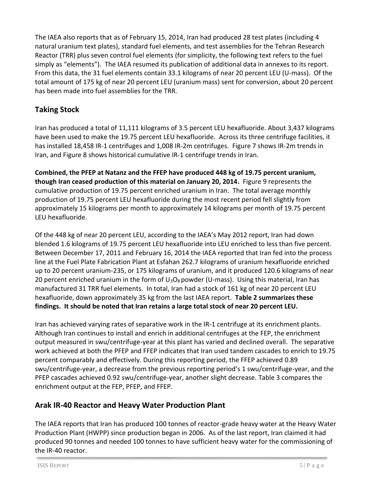The IAEA also reports that as of February 15, 2014, Iran had produced 28 test plates (including 4 natural uranium text plates), standard fuel elements, and test assemblies for the Tehran Research Reactor (TRR) plus seven control fuel elements (for simplicity, the following text refers to the fuel simply as "elements"). The IAEA resumed its publication of additional data in annexes to its report. From this data, the 31 fuel elements contain 33.1 kilograms of near 20 percent LEU (U-mass). Of the total amount of 175 kg of near 20 percent LEU (uranium mass) sent for conversion, about 20 percent has been made into fuel assemblies for the TRR.

# **Taking Stock**

Iran has produced a total of 11,111 kilograms of 3.5 percent LEU hexafluoride. About 3,437 kilograms have been used to make the 19.75 percent LEU hexafluoride. Across its three centrifuge facilities, it has installed 18,458 IR-1 centrifuges and 1,008 IR-2m centrifuges. Figure 7 shows IR-2m trends in Iran, and Figure 8 shows historical cumulative IR-1 centrifuge trends in Iran.

**Combined, the PFEP at Natanz and the FFEP have produced 448 kg of 19.75 percent uranium, though Iran ceased production of this material on January 20, 2014.** Figure 9 represents the cumulative production of 19.75 percent enriched uranium in Iran. The total average monthly production of 19.75 percent LEU hexafluoride during the most recent period fell slightly from approximately 15 kilograms per month to approximately 14 kilograms per month of 19.75 percent LEU hexafluoride.

Of the 448 kg of near 20 percent LEU, according to the IAEA's May 2012 report, Iran had down blended 1.6 kilograms of 19.75 percent LEU hexafluoride into LEU enriched to less than five percent. Between December 17, 2011 and February 16, 2014 the IAEA reported that Iran fed into the process line at the Fuel Plate Fabrication Plant at Esfahan 262.7 kilograms of uranium hexafluoride enriched up to 20 percent uranium-235, or 175 kilograms of uranium, and it produced 120.6 kilograms of near 20 percent enriched uranium in the form of  $U_3O_8$  powder (U-mass). Using this material, Iran has manufactured 31 TRR fuel elements. In total, Iran had a stock of 161 kg of near 20 percent LEU hexafluoride, down approximately 35 kg from the last IAEA report. **Table 2 summarizes these findings. It should be noted that Iran retains a large total stock of near 20 percent LEU.**

Iran has achieved varying rates of separative work in the IR-1 centrifuge at its enrichment plants. Although Iran continues to install and enrich in additional centrifuges at the FEP, the enrichment output measured in swu/centrifuge-year at this plant has varied and declined overall. The separative work achieved at both the PFEP and FFEP indicates that Iran used tandem cascades to enrich to 19.75 percent comparably and effectively. During this reporting period, the FFEP achieved 0.89 swu/centrifuge-year, a decrease from the previous reporting period's 1 swu/centrifuge-year, and the PFEP cascades achieved 0.92 swu/centrifuge-year, another slight decrease. Table 3 compares the enrichment output at the FEP, PFEP, and FFEP.

### **Arak IR-40 Reactor and Heavy Water Production Plant**

The IAEA reports that Iran has produced 100 tonnes of reactor-grade heavy water at the Heavy Water Production Plant (HWPP) since production began in 2006. As of the last report, Iran claimed it had produced 90 tonnes and needed 100 tonnes to have sufficient heavy water for the commissioning of the IR-40 reactor.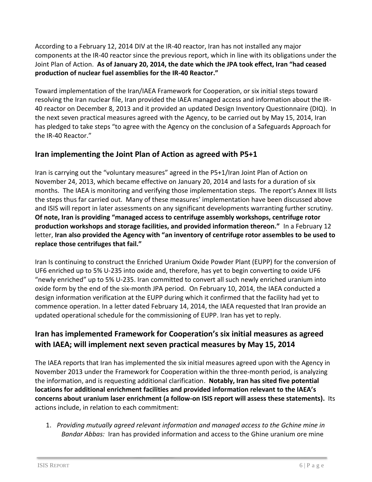According to a February 12, 2014 DIV at the IR-40 reactor, Iran has not installed any major components at the IR-40 reactor since the previous report, which in line with its obligations under the Joint Plan of Action. **As of January 20, 2014, the date which the JPA took effect, Iran "had ceased production of nuclear fuel assemblies for the IR-40 Reactor."**

Toward implementation of the Iran/IAEA Framework for Cooperation, or six initial steps toward resolving the Iran nuclear file, Iran provided the IAEA managed access and information about the IR-40 reactor on December 8, 2013 and it provided an updated Design Inventory Questionnaire (DIQ). In the next seven practical measures agreed with the Agency, to be carried out by May 15, 2014, Iran has pledged to take steps "to agree with the Agency on the conclusion of a Safeguards Approach for the IR-40 Reactor."

#### **Iran implementing the Joint Plan of Action as agreed with P5+1**

Iran is carrying out the "voluntary measures" agreed in the P5+1/Iran Joint Plan of Action on November 24, 2013, which became effective on January 20, 2014 and lasts for a duration of six months. The IAEA is monitoring and verifying those implementation steps. The report's Annex III lists the steps thus far carried out. Many of these measures' implementation have been discussed above and ISIS will report in later assessments on any significant developments warranting further scrutiny. **Of note, Iran is providing "managed access to centrifuge assembly workshops, centrifuge rotor production workshops and storage facilities, and provided information thereon."** In a February 12 letter, **Iran also provided the Agency with "an inventory of centrifuge rotor assembles to be used to replace those centrifuges that fail."** 

Iran Is continuing to construct the Enriched Uranium Oxide Powder Plant (EUPP) for the conversion of UF6 enriched up to 5% U-235 into oxide and, therefore, has yet to begin converting to oxide UF6 "newly enriched" up to 5% U-235. Iran committed to convert all such newly enriched uranium into oxide form by the end of the six-month JPA period. On February 10, 2014, the IAEA conducted a design information verification at the EUPP during which it confirmed that the facility had yet to commence operation. In a letter dated February 14, 2014, the IAEA requested that Iran provide an updated operational schedule for the commissioning of EUPP. Iran has yet to reply.

# **Iran has implemented Framework for Cooperation's six initial measures as agreed with IAEA; will implement next seven practical measures by May 15, 2014**

The IAEA reports that Iran has implemented the six initial measures agreed upon with the Agency in November 2013 under the Framework for Cooperation within the three-month period, is analyzing the information, and is requesting additional clarification. **Notably, Iran has sited five potential locations for additional enrichment facilities and provided information relevant to the IAEA's concerns about uranium laser enrichment (a follow-on ISIS report will assess these statements).** Its actions include, in relation to each commitment:

1. *Providing mutually agreed relevant information and managed access to the Gchine mine in Bandar Abbas:* Iran has provided information and access to the Ghine uranium ore mine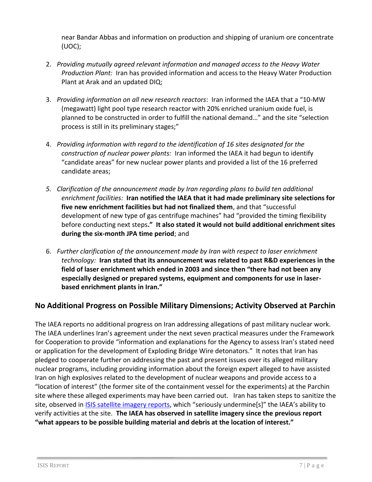near Bandar Abbas and information on production and shipping of uranium ore concentrate (UOC);

- 2. *Providing mutually agreed relevant information and managed access to the Heavy Water Production Plant:* Iran has provided information and access to the Heavy Water Production Plant at Arak and an updated DIQ;
- 3. *Providing information on all new research reactors*: Iran informed the IAEA that a "10-MW (megawatt) light pool type research reactor with 20% enriched uranium oxide fuel, is planned to be constructed in order to fulfill the national demand…" and the site "selection process is still in its preliminary stages;"
- 4. *Providing information with regard to the identification of 16 sites designated for the construction of nuclear power plants:* Iran informed the IAEA it had begun to identify "candidate areas" for new nuclear power plants and provided a list of the 16 preferred candidate areas;
- *5. Clarification of the announcement made by Iran regarding plans to build ten additional enrichment facilities:* **Iran notified the IAEA that it had made preliminary site selections for five new enrichment facilities but had not finalized them**, and that "successful development of new type of gas centrifuge machines" had "provided the timing flexibility before conducting next steps**." It also stated it would not build additional enrichment sites during the six-month JPA time period**; and
- 6. *Further clarification of the announcement made by Iran with respect to laser enrichment technology:* **Iran stated that its announcement was related to past R&D experiences in the field of laser enrichment which ended in 2003 and since then "there had not been any especially designed or prepared systems, equipment and components for use in laserbased enrichment plants in Iran."**

# **No Additional Progress on Possible Military Dimensions; Activity Observed at Parchin**

The IAEA reports no additional progress on Iran addressing allegations of past military nuclear work. The IAEA underlines Iran's agreement under the next seven practical measures under the Framework for Cooperation to provide "information and explanations for the Agency to assess Iran's stated need or application for the development of Exploding Bridge Wire detonators." It notes that Iran has pledged to cooperate further on addressing the past and present issues over its alleged military nuclear programs, including providing information about the foreign expert alleged to have assisted Iran on high explosives related to the development of nuclear weapons and provide access to a "location of interest" (the former site of the containment vessel for the experiments) at the Parchin site where these alleged experiments may have been carried out. Iran has taken steps to sanitize the site, observed in [ISIS satellite imagery reports](http://isis-online.org/isis-reports/imagery/category/iran/), which "seriously undermine[s]" the IAEA's ability to verify activities at the site. **The IAEA has observed in satellite imagery since the previous report "what appears to be possible building material and debris at the location of interest."**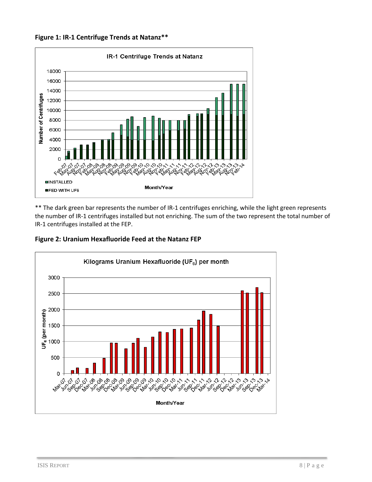**Figure 1: IR-1 Centrifuge Trends at Natanz\*\***



\*\* The dark green bar represents the number of IR-1 centrifuges enriching, while the light green represents the number of IR-1 centrifuges installed but not enriching. The sum of the two represent the total number of IR-1 centrifuges installed at the FEP.

**Figure 2: Uranium Hexafluoride Feed at the Natanz FEP**

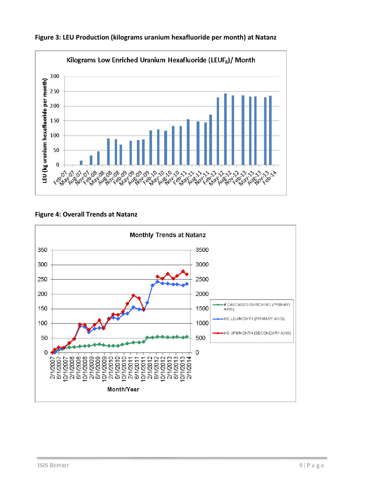

**Figure 3: LEU Production (kilograms uranium hexafluoride per month) at Natanz**

#### **Figure 4: Overall Trends at Natanz**

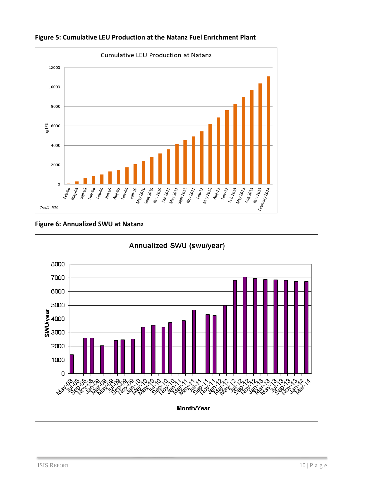

**Figure 5: Cumulative LEU Production at the Natanz Fuel Enrichment Plant**

#### **Figure 6: Annualized SWU at Natanz**

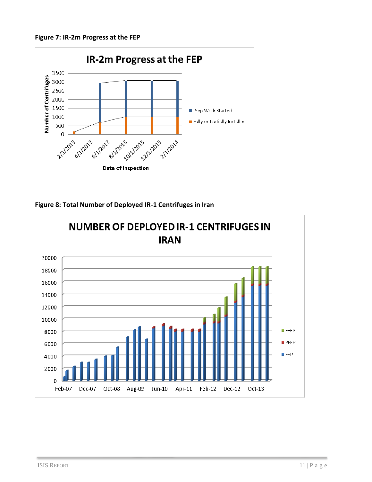**Figure 7: IR-2m Progress at the FEP**



**Figure 8: Total Number of Deployed IR-1 Centrifuges in Iran**

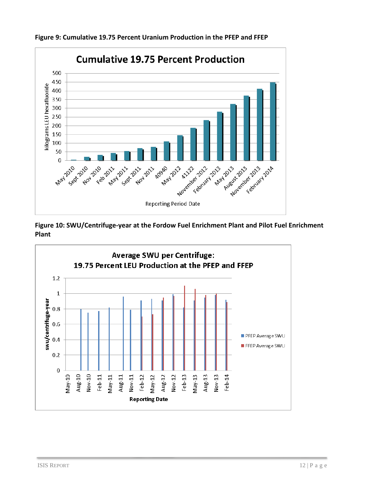

**Figure 9: Cumulative 19.75 Percent Uranium Production in the PFEP and FFEP** 

**Figure 10: SWU/Centrifuge-year at the Fordow Fuel Enrichment Plant and Pilot Fuel Enrichment Plant**

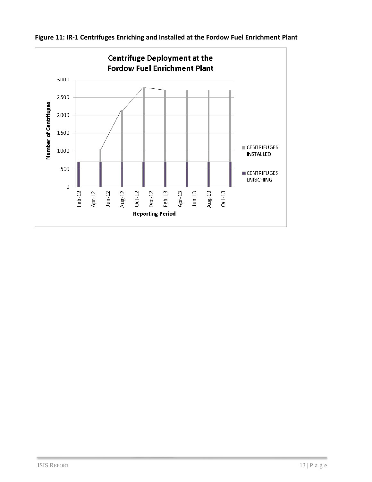

**Figure 11: IR-1 Centrifuges Enriching and Installed at the Fordow Fuel Enrichment Plant**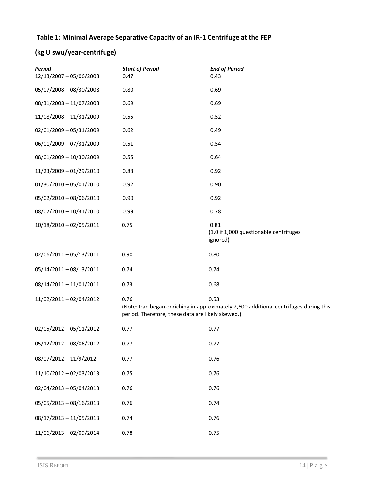#### **Table 1: Minimal Average Separative Capacity of an IR-1 Centrifuge at the FEP**

# **(kg U swu/year-centrifuge)**

| <b>Period</b><br>12/13/2007 - 05/06/2008 | <b>Start of Period</b><br>0.47                            | <b>End of Period</b><br>0.43                                                                  |
|------------------------------------------|-----------------------------------------------------------|-----------------------------------------------------------------------------------------------|
| 05/07/2008 - 08/30/2008                  | 0.80                                                      | 0.69                                                                                          |
| 08/31/2008 - 11/07/2008                  | 0.69                                                      | 0.69                                                                                          |
| 11/08/2008 - 11/31/2009                  | 0.55                                                      | 0.52                                                                                          |
| 02/01/2009 - 05/31/2009                  | 0.62                                                      | 0.49                                                                                          |
| 06/01/2009 - 07/31/2009                  | 0.51                                                      | 0.54                                                                                          |
| 08/01/2009 - 10/30/2009                  | 0.55                                                      | 0.64                                                                                          |
| 11/23/2009 - 01/29/2010                  | 0.88                                                      | 0.92                                                                                          |
| $01/30/2010 - 05/01/2010$                | 0.92                                                      | 0.90                                                                                          |
| 05/02/2010 - 08/06/2010                  | 0.90                                                      | 0.92                                                                                          |
| 08/07/2010 - 10/31/2010                  | 0.99                                                      | 0.78                                                                                          |
| 10/18/2010 - 02/05/2011                  | 0.75                                                      | 0.81<br>(1.0 if 1,000 questionable centrifuges<br>ignored)                                    |
| 02/06/2011-05/13/2011                    | 0.90                                                      | 0.80                                                                                          |
| 05/14/2011 - 08/13/2011                  | 0.74                                                      | 0.74                                                                                          |
| 08/14/2011 - 11/01/2011                  | 0.73                                                      | 0.68                                                                                          |
| 11/02/2011 - 02/04/2012                  | 0.76<br>period. Therefore, these data are likely skewed.) | 0.53<br>(Note: Iran began enriching in approximately 2,600 additional centrifuges during this |
| 02/05/2012 - 05/11/2012                  | 0.77                                                      | 0.77                                                                                          |
| 05/12/2012 - 08/06/2012                  | 0.77                                                      | 0.77                                                                                          |
| 08/07/2012 - 11/9/2012                   | 0.77                                                      | 0.76                                                                                          |
| 11/10/2012 - 02/03/2013                  | 0.75                                                      | 0.76                                                                                          |
| $02/04/2013 - 05/04/2013$                | 0.76                                                      | 0.76                                                                                          |
| $05/05/2013 - 08/16/2013$                | 0.76                                                      | 0.74                                                                                          |
| 08/17/2013 - 11/05/2013                  | 0.74                                                      | 0.76                                                                                          |
| 11/06/2013 - 02/09/2014                  | 0.78                                                      | 0.75                                                                                          |